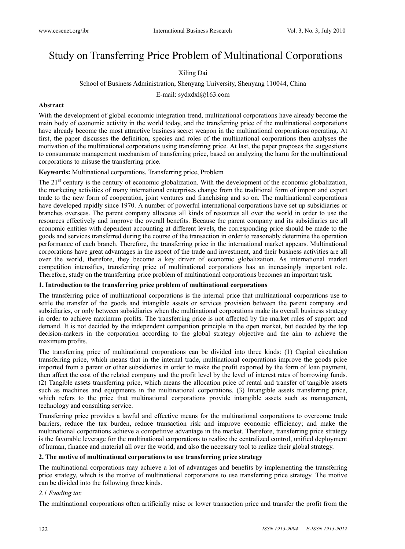# Study on Transferring Price Problem of Multinational Corporations

# Xiling Dai

School of Business Administration, Shenyang University, Shenyang 110044, China

E-mail: sydxdxl@163.com

#### **Abstract**

With the development of global economic integration trend, multinational corporations have already become the main body of economic activity in the world today, and the transferring price of the multinational corporations have already become the most attractive business secret weapon in the multinational corporations operating. At first, the paper discusses the definition, species and roles of the multinational corporations then analyses the motivation of the multinational corporations using transferring price. At last, the paper proposes the suggestions to consummate management mechanism of transferring price, based on analyzing the harm for the multinational corporations to misuse the transferring price.

### **Keywords:** Multinational corporations, Transferring price, Problem

The  $21<sup>st</sup>$  century is the century of economic globalization. With the development of the economic globalization, the marketing activities of many international enterprises change from the traditional form of import and export trade to the new form of cooperation, joint ventures and franchising and so on. The multinational corporations have developed rapidly since 1970. A number of powerful international corporations have set up subsidiaries or branches overseas. The parent company allocates all kinds of resources all over the world in order to use the resources effectively and improve the overall benefits. Because the parent company and its subsidiaries are all economic entities with dependent accounting at different levels, the corresponding price should be made to the goods and services transferred during the course of the transaction in order to reasonably determine the operation performance of each branch. Therefore, the transferring price in the international market appears. Multinational corporations have great advantages in the aspect of the trade and investment, and their business activities are all over the world, therefore, they become a key driver of economic globalization. As international market competition intensifies, transferring price of multinational corporations has an increasingly important role. Therefore, study on the transferring price problem of multinational corporations becomes an important task.

### **1. Introduction to the transferring price problem of multinational corporations**

The transferring price of multinational corporations is the internal price that multinational corporations use to settle the transfer of the goods and intangible assets or services provision between the parent company and subsidiaries, or only between subsidiaries when the multinational corporations make its overall business strategy in order to achieve maximum profits. The transferring price is not affected by the market rules of support and demand. It is not decided by the independent competition principle in the open market, but decided by the top decision-makers in the corporation according to the global strategy objective and the aim to achieve the maximum profits.

The transferring price of multinational corporations can be divided into three kinds: (1) Capital circulation transferring price, which means that in the internal trade, multinational corporations improve the goods price imported from a parent or other subsidiaries in order to make the profit exported by the form of loan payment, then affect the cost of the related company and the profit level by the level of interest rates of borrowing funds. (2) Tangible assets transferring price, which means the allocation price of rental and transfer of tangible assets such as machines and equipments in the multinational corporations. (3) Intangible assets transferring price, which refers to the price that multinational corporations provide intangible assets such as management, technology and consulting service.

Transferring price provides a lawful and effective means for the multinational corporations to overcome trade barriers, reduce the tax burden, reduce transaction risk and improve economic efficiency; and make the multinational corporations achieve a competitive advantage in the market. Therefore, transferring price strategy is the favorable leverage for the multinational corporations to realize the centralized control, unified deployment of human, finance and material all over the world, and also the necessary tool to realize their global strategy.

## **2. The motive of multinational corporations to use transferring price strategy**

The multinational corporations may achieve a lot of advantages and benefits by implementing the transferring price strategy, which is the motive of multinational corporations to use transferring price strategy. The motive can be divided into the following three kinds.

### *2.1 Evading tax*

The multinational corporations often artificially raise or lower transaction price and transfer the profit from the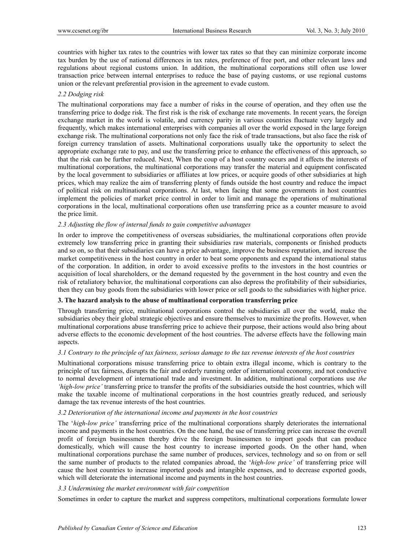countries with higher tax rates to the countries with lower tax rates so that they can minimize corporate income tax burden by the use of national differences in tax rates, preference of free port, and other relevant laws and regulations about regional customs union. In addition, the multinational corporations still often use lower transaction price between internal enterprises to reduce the base of paying customs, or use regional customs union or the relevant preferential provision in the agreement to evade custom.

# *2.2 Dodging risk*

The multinational corporations may face a number of risks in the course of operation, and they often use the transferring price to dodge risk. The first risk is the risk of exchange rate movements. In recent years, the foreign exchange market in the world is volatile, and currency parity in various countries fluctuate very largely and frequently, which makes international enterprises with companies all over the world exposed in the large foreign exchange risk. The multinational corporations not only face the risk of trade transactions, but also face the risk of foreign currency translation of assets. Multinational corporations usually take the opportunity to select the appropriate exchange rate to pay, and use the transferring price to enhance the effectiveness of this approach, so that the risk can be further reduced. Next, When the coup of a host country occurs and it affects the interests of multinational corporations, the multinational corporations may transfer the material and equipment confiscated by the local government to subsidiaries or affiliates at low prices, or acquire goods of other subsidiaries at high prices, which may realize the aim of transferring plenty of funds outside the host country and reduce the impact of political risk on multinational corporations. At last, when facing that some governments in host countries implement the policies of market price control in order to limit and manage the operations of multinational corporations in the local, multinational corporations often use transferring price as a counter measure to avoid the price limit.

# *2.3 Adjusting the flow of internal funds to gain competitive advantages*

In order to improve the competitiveness of overseas subsidiaries, the multinational corporations often provide extremely low transferring price in granting their subsidiaries raw materials, components or finished products and so on, so that their subsidiaries can have a price advantage, improve the business reputation, and increase the market competitiveness in the host country in order to beat some opponents and expand the international status of the corporation. In addition, in order to avoid excessive profits to the investors in the host countries or acquisition of local shareholders, or the demand requested by the government in the host country and even the risk of retaliatory behavior, the multinational corporations can also depress the profitability of their subsidiaries, then they can buy goods from the subsidiaries with lower price or sell goods to the subsidiaries with higher price.

## **3. The hazard analysis to the abuse of multinational corporation transferring price**

Through transferring price, multinational corporations control the subsidiaries all over the world, make the subsidiaries obey their global strategic objectives and ensure themselves to maximize the profits. However, when multinational corporations abuse transferring price to achieve their purpose, their actions would also bring about adverse effects to the economic development of the host countries. The adverse effects have the following main aspects.

### *3.1 Contrary to the principle of tax fairness, serious damage to the tax revenue interests of the host countries*

Multinational corporations misuse transferring price to obtain extra illegal income, which is contrary to the principle of tax fairness, disrupts the fair and orderly running order of international economy, and not conductive to normal development of international trade and investment. In addition, multinational corporations use *the 'high-low price'* transferring price to transfer the profits of the subsidiaries outside the host countries, which will make the taxable income of multinational corporations in the host countries greatly reduced, and seriously damage the tax revenue interests of the host countries.

## *3.2 Deterioration of the international income and payments in the host countries*

The '*high-low price'* transferring price of the multinational corporations sharply deteriorates the international income and payments in the host countries. On the one hand, the use of transferring price can increase the overall profit of foreign businessmen thereby drive the foreign businessmen to import goods that can produce domestically, which will cause the host country to increase imported goods. On the other hand, when multinational corporations purchase the same number of produces, services, technology and so on from or sell the same number of products to the related companies abroad, the '*high-low price'* of transferring price will cause the host countries to increase imported goods and intangible expenses, and to decrease exported goods, which will deteriorate the international income and payments in the host countries.

### *3.3 Undermining the market environment with fair competition*

Sometimes in order to capture the market and suppress competitors, multinational corporations formulate lower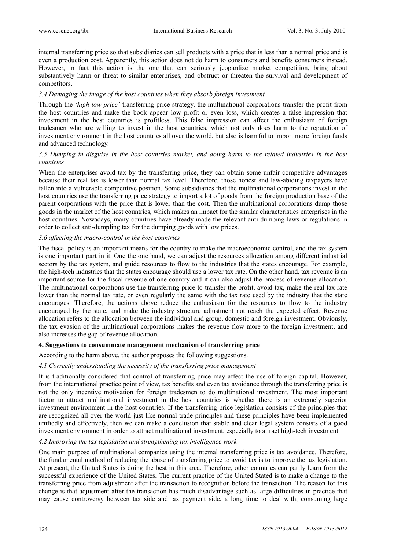internal transferring price so that subsidiaries can sell products with a price that is less than a normal price and is even a production cost. Apparently, this action does not do harm to consumers and benefits consumers instead. However, in fact this action is the one that can seriously jeopardize market competition, bring about substantively harm or threat to similar enterprises, and obstruct or threaten the survival and development of competitors.

### *3.4 Damaging the image of the host countries when they absorb foreign investment*

Through the '*high-low price'* transferring price strategy, the multinational corporations transfer the profit from the host countries and make the book appear low profit or even loss, which creates a false impression that investment in the host countries is profitless. This false impression can affect the enthusiasm of foreign tradesmen who are willing to invest in the host countries, which not only does harm to the reputation of investment environment in the host countries all over the world, but also is harmful to import more foreign funds and advanced technology.

## *3.5 Dumping in disguise in the host countries market, and doing harm to the related industries in the host countries*

When the enterprises avoid tax by the transferring price, they can obtain some unfair competitive advantages because their real tax is lower than normal tax level. Therefore, those honest and law-abiding taxpayers have fallen into a vulnerable competitive position. Some subsidiaries that the multinational corporations invest in the host countries use the transferring price strategy to import a lot of goods from the foreign production base of the parent corporations with the price that is lower than the cost. Then the multinational corporations dump those goods in the market of the host countries, which makes an impact for the similar characteristics enterprises in the host countries. Nowadays, many countries have already made the relevant anti-dumping laws or regulations in order to collect anti-dumpling tax for the dumping goods with low prices.

#### *3.6 affecting the macro-control in the host countries*

The fiscal policy is an important means for the country to make the macroeconomic control, and the tax system is one important part in it. One the one hand, we can adjust the resources allocation among different industrial sectors by the tax system, and guide resources to flow to the industries that the states encourage. For example, the high-tech industries that the states encourage should use a lower tax rate. On the other hand, tax revenue is an important source for the fiscal revenue of one country and it can also adjust the process of revenue allocation. The multinational corporations use the transferring price to transfer the profit, avoid tax, make the real tax rate lower than the normal tax rate, or even regularly the same with the tax rate used by the industry that the state encourages. Therefore, the actions above reduce the enthusiasm for the resources to flow to the industry encouraged by the state, and make the industry structure adjustment not reach the expected effect. Revenue allocation refers to the allocation between the individual and group, domestic and foreign investment. Obviously, the tax evasion of the multinational corporations makes the revenue flow more to the foreign investment, and also increases the gap of revenue allocation.

#### **4. Suggestions to consummate management mechanism of transferring price**

According to the harm above, the author proposes the following suggestions.

### *4.1 Correctly understanding the necessity of the transferring price management*

It is traditionally considered that control of transferring price may affect the use of foreign capital. However, from the international practice point of view, tax benefits and even tax avoidance through the transferring price is not the only incentive motivation for foreign tradesmen to do multinational investment. The most important factor to attract multinational investment in the host countries is whether there is an extremely superior investment environment in the host countries. If the transferring price legislation consists of the principles that are recognized all over the world just like normal trade principles and these principles have been implemented unifiedly and effectively, then we can make a conclusion that stable and clear legal system consists of a good investment environment in order to attract multinational investment, especially to attract high-tech investment.

### *4.2 Improving the tax legislation and strengthening tax intelligence work*

One main purpose of multinational companies using the internal transferring price is tax avoidance. Therefore, the fundamental method of reducing the abuse of transferring price to avoid tax is to improve the tax legislation. At present, the United States is doing the best in this area. Therefore, other countries can partly learn from the successful experience of the United States. The current practice of the United Stated is to make a change to the transferring price from adjustment after the transaction to recognition before the transaction. The reason for this change is that adjustment after the transaction has much disadvantage such as large difficulties in practice that may cause controversy between tax side and tax payment side, a long time to deal with, consuming large